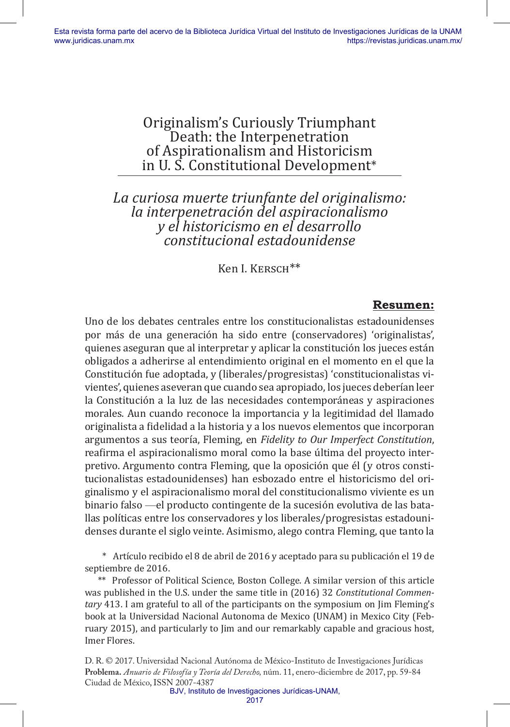# Originalism's Curiously Triumphant Death: the Interpenetration of Aspirationalism and Historicism in U. S. Constitutional Development\*

# *La curiosa muerte triunfante del originalismo: la interpenetración del aspiracionalismo y el historicismo en el desarrollo constitucional estadounidense*

Ken I. KERSCH<sup>\*\*</sup>

### **Resumen:**

Uno de los debates centrales entre los constitucionalistas estadounidenses por más de una generación ha sido entre (conservadores) 'originalistas', quienes aseguran que al interpretar y aplicar la constitución los jueces están obligados a adherirse al entendimiento original en el momento en el que la Constitución fue adoptada, y (liberales/progresistas) 'constitucionalistas vivientes', quienes aseveran que cuando sea apropiado, los jueces deberían leer la Constitución a la luz de las necesidades contemporáneas y aspiraciones morales. Aun cuando reconoce la importancia y la legitimidad del llamado originalista a fidelidad a la historia y a los nuevos elementos que incorporan argumentos a sus teoría, Fleming, en *Fidelity to Our Imperfect Constitution*, reafirma el aspiracionalismo moral como la base última del proyecto interpretivo. Argumento contra Fleming, que la oposición que él (y otros constitucionalistas estadounidenses) han esbozado entre el historicismo del originalismo y el aspiracionalismo moral del constitucionalismo viviente es un binario falso —el producto contingente de la sucesión evolutiva de las batallas políticas entre los conservadores y los liberales/progresistas estadounidenses durante el siglo veinte. Asimismo, alego contra Fleming, que tanto la

\* Artículo recibido el 8 de abril de 2016 y aceptado para su publicación el 19 de septiembre de 2016.

\*\* Professor of Political Science, Boston College. A similar version of this article was published in the U.S. under the same title in (2016) 32 *Constitutional Commentary* 413. I am grateful to all of the participants on the symposium on Jim Fleming's book at la Universidad Nacional Autonoma de Mexico (UNAM) in Mexico City (February 2015), and particularly to Jim and our remarkably capable and gracious host, Imer Flores.

D. R. © 2017. Universidad Nacional Autónoma de México-Instituto de Investigaciones Jurídicas **Problema.** *Anuario de Filosofía y Teoría del Derecho,* núm. 11, enero-diciembre de 2017, pp. 59-84 Ciudad de México, ISSN 2007-4387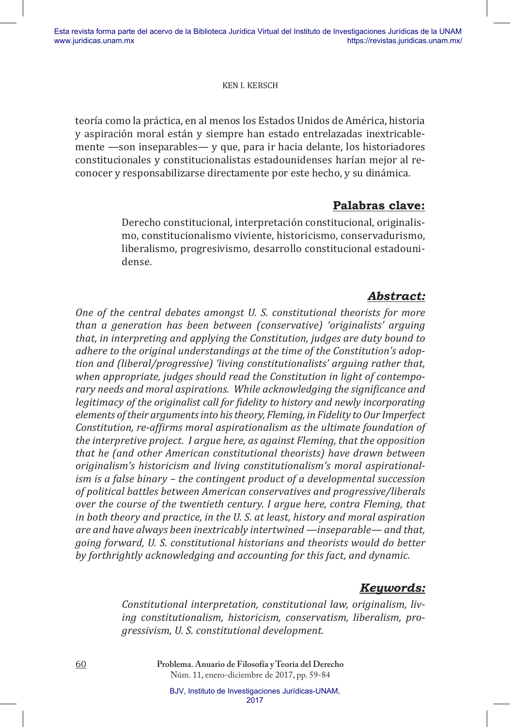teoría como la práctica, en al menos los Estados Unidos de América, historia y aspiración moral están y siempre han estado entrelazadas inextricablemente —son inseparables— y que, para ir hacia delante, los historiadores constitucionales y constitucionalistas estadounidenses harían mejor al reconocer y responsabilizarse directamente por este hecho, y su dinámica.

## **Palabras clave:**

Derecho constitucional, interpretación constitucional, originalismo, constitucionalismo viviente, historicismo, conservadurismo, liberalismo, progresivismo, desarrollo constitucional estadounidense.

# *Abstract:*

*One of the central debates amongst U. S. constitutional theorists for more than a generation has been between (conservative) 'originalists' arguing that, in interpreting and applying the Constitution, judges are duty bound to adhere to the original understandings at the time of the Constitution's adoption and (liberal/progressive) 'living constitutionalists' arguing rather that, when appropriate, judges should read the Constitution in light of contemporary needs and moral aspirations. While acknowledging the significance and legitimacy of the originalist call for fidelity to history and newly incorporating elements of their arguments into his theory, Fleming, in Fidelity to Our Imperfect Constitution, re-affirms moral aspirationalism as the ultimate foundation of the interpretive project. I argue here, as against Fleming, that the opposition that he (and other American constitutional theorists) have drawn between originalism's historicism and living constitutionalism's moral aspirationalism is a false binary – the contingent product of a developmental succession of political battles between American conservatives and progressive/liberals over the course of the twentieth century. I argue here, contra Fleming, that in both theory and practice, in the U. S. at least, history and moral aspiration are and have always been inextricably intertwined —inseparable— and that, going forward, U. S. constitutional historians and theorists would do better by forthrightly acknowledging and accounting for this fact, and dynamic.*

## *Keywords:*

*Constitutional interpretation, constitutional law, originalism, living constitutionalism, historicism, conservatism, liberalism, progressivism, U. S. constitutional development.*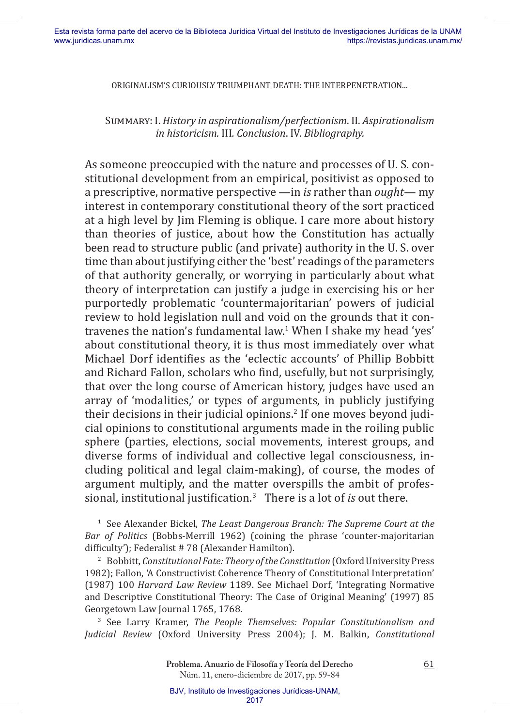Summary: I. *History in aspirationalism/perfectionism*. II. *Aspirationalism in historicism.* III*. Conclusion*. IV. *Bibliography.*

As someone preoccupied with the nature and processes of U. S. constitutional development from an empirical, positivist as opposed to a prescriptive, normative perspective —in *is* rather than *ought*— my interest in contemporary constitutional theory of the sort practiced at a high level by Jim Fleming is oblique. I care more about history than theories of justice, about how the Constitution has actually been read to structure public (and private) authority in the U. S. over time than about justifying either the 'best' readings of the parameters of that authority generally, or worrying in particularly about what theory of interpretation can justify a judge in exercising his or her purportedly problematic 'countermajoritarian' powers of judicial review to hold legislation null and void on the grounds that it contravenes the nation's fundamental law.<sup>1</sup> When I shake my head 'yes' about constitutional theory, it is thus most immediately over what Michael Dorf identifies as the 'eclectic accounts' of Phillip Bobbitt and Richard Fallon, scholars who find, usefully, but not surprisingly, that over the long course of American history, judges have used an array of 'modalities,' or types of arguments, in publicly justifying their decisions in their judicial opinions.<sup>2</sup> If one moves beyond judi<mark>-</mark> cial opinions to constitutional arguments made in the roiling public sphere (parties, elections, social movements, interest groups, and diverse forms of individual and collective legal consciousness, including political and legal claim-making), of course, the modes of argument multiply, and the matter overspills the ambit of professional, institutional justification.<sup>3</sup> There is a lot of *is* out there.

<sup>1</sup> See Alexander Bickel, *The Least Dangerous Branch: The Supreme Court at the Bar of Politics* (Bobbs-Merrill 1962) (coining the phrase 'counter-majoritarian difficulty'); Federalist # 78 (Alexander Hamilton).

<sup>2</sup> Bobbitt, *Constitutional Fate: Theory of the Constitution* (Oxford University Press 1982); Fallon, 'A Constructivist Coherence Theory of Constitutional Interpretation' (1987) 100 *Harvard Law Review* 1189. See Michael Dorf, 'Integrating Normative and Descriptive Constitutional Theory: The Case of Original Meaning' (1997) 85 Georgetown Law Journal 1765, 1768.

<sup>3</sup>See Larry Kramer, *The People Themselves: Popular Constitutionalism and Judicial Review* (Oxford University Press 2004); J. M. Balkin, *Constitutional*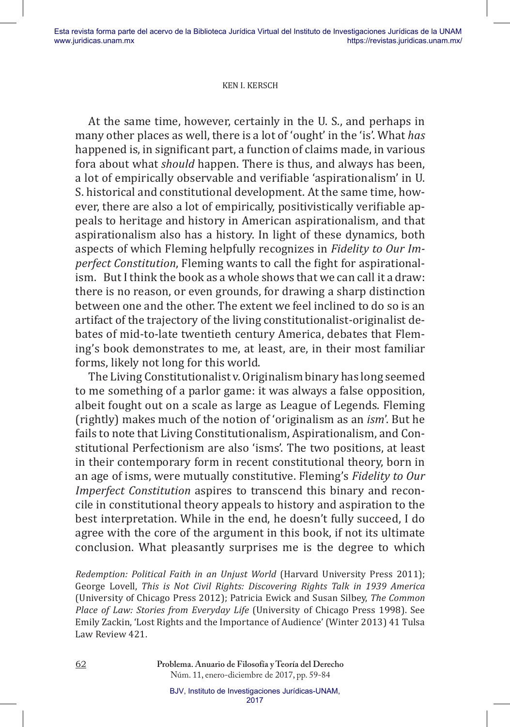At the same time, however, certainly in the U. S., and perhaps in many other places as well, there is a lot of 'ought' in the 'is'. What *has*  happened is, in significant part, a function of claims made, in various fora about what *should* happen. There is thus, and always has been, a lot of empirically observable and verifiable 'aspirationalism' in U. S. historical and constitutional development. At the same time, however, there are also a lot of empirically, positivistically verifiable appeals to heritage and history in American aspirationalism, and that aspirationalism also has a history. In light of these dynamics, both aspects of which Fleming helpfully recognizes in *Fidelity to Our Imperfect Constitution*, Fleming wants to call the fight for aspirationalism. But I think the book as a whole shows that we can call it a draw: there is no reason, or even grounds, for drawing a sharp distinction between one and the other. The extent we feel inclined to do so is an artifact of the trajectory of the living constitutionalist-originalist debates of mid-to-late twentieth century America, debates that Fleming's book demonstrates to me, at least, are, in their most familiar forms, likely not long for this world.

The Living Constitutionalist v. Originalism binary has long seemed to me something of a parlor game: it was always a false opposition, albeit fought out on a scale as large as League of Legends. Fleming (rightly) makes much of the notion of 'originalism as an *ism*'. But he fails to note that Living Constitutionalism, Aspirationalism, and Constitutional Perfectionism are also 'isms'. The two positions, at least in their contemporary form in recent constitutional theory, born in an age of isms, were mutually constitutive. Fleming's *Fidelity to Our Imperfect Constitution* aspires to transcend this binary and reconcile in constitutional theory appeals to history and aspiration to the best interpretation. While in the end, he doesn't fully succeed, I do agree with the core of the argument in this book, if not its ultimate conclusion. What pleasantly surprises me is the degree to which

*Redemption: Political Faith in an Unjust World* (Harvard University Press 2011); George Lovell, *This is Not Civil Rights: Discovering Rights Talk in 1939 America* (University of Chicago Press 2012); Patricia Ewick and Susan Silbey, *The Common Place of Law: Stories from Everyday Life* (University of Chicago Press 1998). See Emily Zackin, 'Lost Rights and the Importance of Audience' (Winter 2013) 41 Tulsa Law Review 421.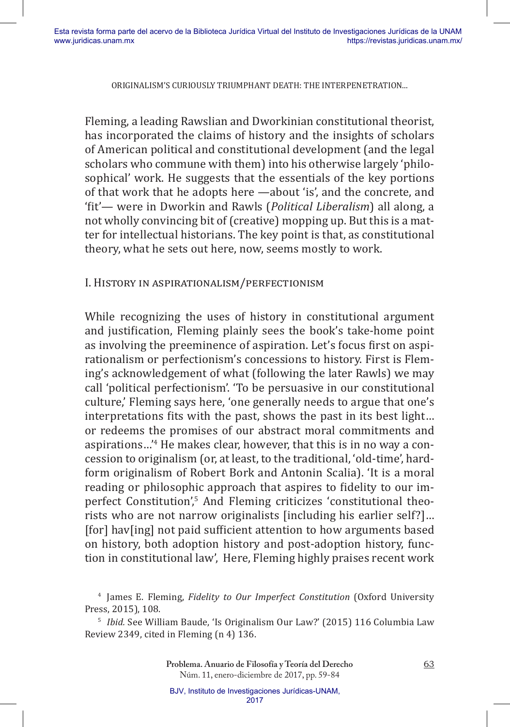Fleming, a leading Rawslian and Dworkinian constitutional theorist, has incorporated the claims of history and the insights of scholars of American political and constitutional development (and the legal scholars who commune with them) into his otherwise largely 'philosophical' work. He suggests that the essentials of the key portions of that work that he adopts here —about 'is', and the concrete, and 'fit'— were in Dworkin and Rawls (*Political Liberalism*) all along, a not wholly convincing bit of (creative) mopping up. But this is a matter for intellectual historians. The key point is that, as constitutional theory, what he sets out here, now, seems mostly to work.

### I. History in aspirationalism/perfectionism

While recognizing the uses of history in constitutional argument and justification, Fleming plainly sees the book's take-home point as involving the preeminence of aspiration. Let's focus first on aspirationalism or perfectionism's concessions to history. First is Fleming's acknowledgement of what (following the later Rawls) we may call 'political perfectionism'. 'To be persuasive in our constitutional culture,' Fleming says here, 'one generally needs to argue that one's interpretations fits with the past, shows the past in its best light… or redeems the promises of our abstract moral commitments and aspirations…'<sup>4</sup> He makes clear, however, that this is in no way a concession to originalism (or, at least, to the traditional, 'old-time', hardform originalism of Robert Bork and Antonin Scalia). 'It is a moral reading or philosophic approach that aspires to fidelity to our imperfect Constitution',<sup>5</sup> And Fleming criticizes 'constitutional theorists who are not narrow originalists [including his earlier self?]… [for] hav[ing] not paid sufficient attention to how arguments based on history, both adoption history and post-adoption history, function in constitutional law', Here, Fleming highly praises recent work

<sup>&</sup>lt;sup>4</sup> James E. Fleming, *Fidelity to Our Imperfect Constitution* (Oxford University Press, 2015), 108.

<sup>5</sup>*Ibid.* See William Baude, 'Is Originalism Our Law?' (2015) 116 Columbia Law Review 2349, cited in Fleming (n 4) 136.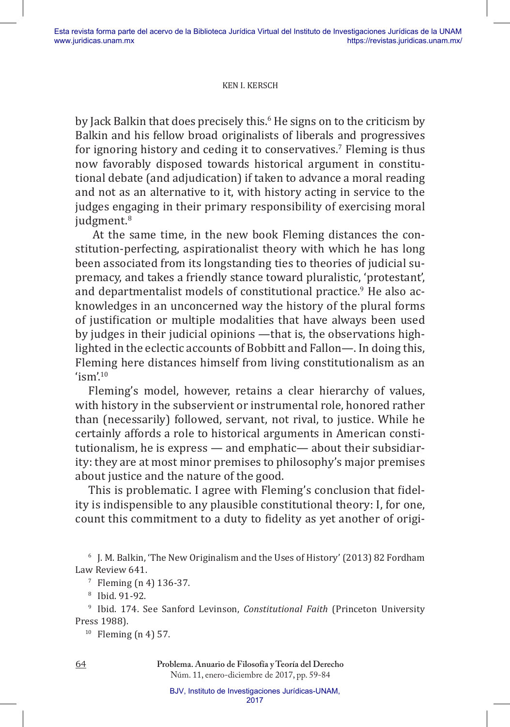by Jack Balkin that does precisely this.<sup>6</sup> He signs on to the criticism by Balkin and his fellow broad originalists of liberals and progressives for ignoring history and ceding it to conservatives.<sup>7</sup> Fleming is thus now favorably disposed towards historical argument in constitutional debate (and adjudication) if taken to advance a moral reading and not as an alternative to it, with history acting in service to the judges engaging in their primary responsibility of exercising moral judgment.<sup>8</sup>

 At the same time, in the new book Fleming distances the constitution-perfecting, aspirationalist theory with which he has long been associated from its longstanding ties to theories of judicial supremacy, and takes a friendly stance toward pluralistic, 'protestant', and departmentalist models of constitutional practice.<sup>9</sup> He also acknowledges in an unconcerned way the history of the plural forms of justification or multiple modalities that have always been used by judges in their judicial opinions —that is, the observations highlighted in the eclectic accounts of Bobbitt and Fallon—. In doing this, Fleming here distances himself from living constitutionalism as an 'ism'. $^{10}$ 

Fleming's model, however, retains a clear hierarchy of values, with history in the subservient or instrumental role, honored rather than (necessarily) followed, servant, not rival, to justice. While he certainly affords a role to historical arguments in American constitutionalism, he is express — and emphatic— about their subsidiarity: they are at most minor premises to philosophy's major premises about justice and the nature of the good.

This is problematic. I agree with Fleming's conclusion that fidelity is indispensible to any plausible constitutional theory: I, for one, count this commitment to a duty to fidelity as yet another of origi-

<sup>6</sup> J. M. Balkin, 'The New Originalism and the Uses of History' (2013) 82 Fordham Law Review 641.

<sup>9</sup> Ibid. 174. See Sanford Levinson, *Constitutional Faith* (Princeton University Press 1988).

 $10$  Fleming (n 4) 57.

 $7$  Fleming (n 4) 136-37.

<sup>8</sup> Ibid. 91-92.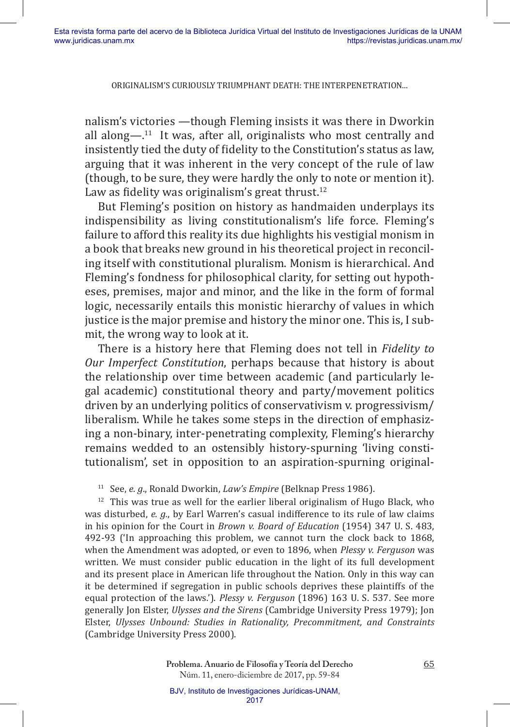nalism's victories —though Fleming insists it was there in Dworkin all along— $.11$  It was, after all, originalists who most centrally and insistently tied the duty of fidelity to the Constitution's status as law, arguing that it was inherent in the very concept of the rule of law (though, to be sure, they were hardly the only to note or mention it). Law as fidelity was originalism's great thrust. $12$ 

But Fleming's position on history as handmaiden underplays its indispensibility as living constitutionalism's life force. Fleming's failure to afford this reality its due highlights his vestigial monism in a book that breaks new ground in his theoretical project in reconciling itself with constitutional pluralism. Monism is hierarchical. And Fleming's fondness for philosophical clarity, for setting out hypotheses, premises, major and minor, and the like in the form of formal logic, necessarily entails this monistic hierarchy of values in which justice is the major premise and history the minor one. This is, I submit, the wrong way to look at it.

There is a history here that Fleming does not tell in *Fidelity to Our Imperfect Constitution*, perhaps because that history is about the relationship over time between academic (and particularly legal academic) constitutional theory and party/movement politics driven by an underlying politics of conservativism v. progressivism/ liberalism. While he takes some steps in the direction of emphasizing a non-binary, inter-penetrating complexity, Fleming's hierarchy remains wedded to an ostensibly history-spurning 'living constitutionalism', set in opposition to an aspiration-spurning original-

<sup>11</sup> See, *e. g.*, Ronald Dworkin, *Law's Empire* (Belknap Press 1986).

 $12$  This was true as well for the earlier liberal originalism of Hugo Black, who was disturbed, *e. g.*, by Earl Warren's casual indifference to its rule of law claims in his opinion for the Court in *Brown v. Board of Education* (1954) 347 U. S. 483, 492-93 ('In approaching this problem, we cannot turn the clock back to 1868, when the Amendment was adopted, or even to 1896, when *Plessy v. Ferguson* was written. We must consider public education in the light of its full development and its present place in American life throughout the Nation. Only in this way can it be determined if segregation in public schools deprives these plaintiffs of the equal protection of the laws.'). *Plessy v. Ferguson* (1896) 163 U. S. 537. See more generally Jon Elster, *Ulysses and the Sirens* (Cambridge University Press 1979); Jon Elster, *Ulysses Unbound: Studies in Rationality, Precommitment, and Constraints* (Cambridge University Press 2000).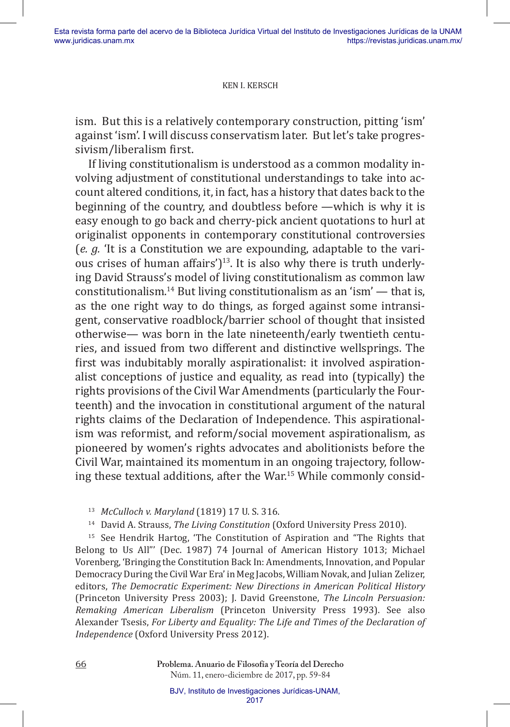ism. But this is a relatively contemporary construction, pitting 'ism' against 'ism'. I will discuss conservatism later. But let's take progressivism/liberalism first.

If living constitutionalism is understood as a common modality involving adjustment of constitutional understandings to take into account altered conditions, it, in fact, has a history that dates back to the beginning of the country, and doubtless before —which is why it is easy enough to go back and cherry-pick ancient quotations to hurl at originalist opponents in contemporary constitutional controversies (*e. g.* 'It is a Constitution we are expounding, adaptable to the various crises of human affairs' $]$ <sup>13</sup>. It is also why there is truth underlying David Strauss's model of living constitutionalism as common law constitutionalism.<sup>14</sup> But living constitutionalism as an 'ism'  $-$  that is, as the one right way to do things, as forged against some intransigent, conservative roadblock/barrier school of thought that insisted otherwise— was born in the late nineteenth/early twentieth centuries, and issued from two different and distinctive wellsprings. The first was indubitably morally aspirationalist: it involved aspirationalist conceptions of justice and equality, as read into (typically) the rights provisions of the Civil War Amendments (particularly the Fourteenth) and the invocation in constitutional argument of the natural rights claims of the Declaration of Independence. This aspirationalism was reformist, and reform/social movement aspirationalism, as pioneered by women's rights advocates and abolitionists before the Civil War, maintained its momentum in an ongoing trajectory, following these textual additions, after the War.15 While commonly consid-

<sup>13</sup>*McCulloch v. Maryland* (1819) 17 U. S. 316.

<sup>14</sup> David A. Strauss, *The Living Constitution* (Oxford University Press 2010).

<sup>15</sup> See Hendrik Hartog, 'The Constitution of Aspiration and "The Rights that Belong to Us All"' (Dec. 1987) 74 Journal of American History 1013; Michael Vorenberg, 'Bringing the Constitution Back In: Amendments, Innovation, and Popular Democracy During the Civil War Era' in Meg Jacobs, William Novak, and Julian Zelizer, editors, *The Democratic Experiment: New Directions in American Political History* (Princeton University Press 2003); J. David Greenstone, *The Lincoln Persuasion: Remaking American Liberalism* (Princeton University Press 1993). See also Alexander Tsesis, *For Liberty and Equality: The Life and Times of the Declaration of Independence* (Oxford University Press 2012).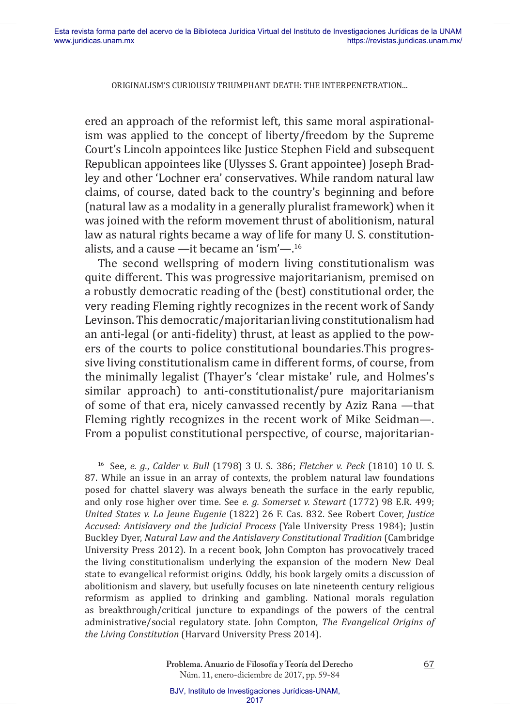ered an approach of the reformist left, this same moral aspirationalism was applied to the concept of liberty/freedom by the Supreme Court's Lincoln appointees like Justice Stephen Field and subsequent Republican appointees like (Ulysses S. Grant appointee) Joseph Bradley and other 'Lochner era' conservatives. While random natural law claims, of course, dated back to the country's beginning and before (natural law as a modality in a generally pluralist framework) when it was joined with the reform movement thrust of abolitionism, natural law as natural rights became a way of life for many U. S. constitutionalists, and a cause —it became an 'ism'—.16

The second wellspring of modern living constitutionalism was quite different. This was progressive majoritarianism, premised on a robustly democratic reading of the (best) constitutional order, the very reading Fleming rightly recognizes in the recent work of Sandy Levinson. This democratic/majoritarian living constitutionalism had an anti-legal (or anti-fidelity) thrust, at least as applied to the powers of the courts to police constitutional boundaries.This progressive living constitutionalism came in different forms, of course, from the minimally legalist (Thayer's 'clear mistake' rule, and Holmes's similar approach) to anti-constitutionalist/pure majoritarianism of some of that era, nicely canvassed recently by Aziz Rana —that Fleming rightly recognizes in the recent work of Mike Seidman—. From a populist constitutional perspective, of course, majoritarian-

<sup>16</sup>See, *e. g.*, *Calder v. Bull* (1798) 3 U. S. 386; *Fletcher v. Peck* (1810) 10 U. S. 87. While an issue in an array of contexts, the problem natural law foundations posed for chattel slavery was always beneath the surface in the early republic, and only rose higher over time. See *e. g. Somerset v. Stewart* (1772) 98 E.R. 499; *United States v. La Jeune Eugenie* (1822) 26 F. Cas. 832. See Robert Cover, *Justice Accused: Antislavery and the Judicial Process* (Yale University Press 1984); Justin Buckley Dyer, *Natural Law and the Antislavery Constitutional Tradition* (Cambridge University Press 2012). In a recent book, John Compton has provocatively traced the living constitutionalism underlying the expansion of the modern New Deal state to evangelical reformist origins. Oddly, his book largely omits a discussion of abolitionism and slavery, but usefully focuses on late nineteenth century religious reformism as applied to drinking and gambling. National morals regulation as breakthrough/critical juncture to expandings of the powers of the central administrative/social regulatory state. John Compton, *The Evangelical Origins of the Living Constitution* (Harvard University Press 2014).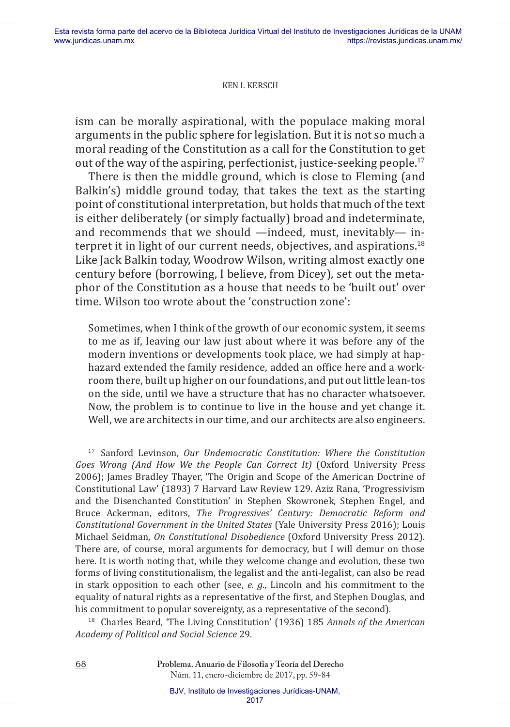ism can be morally aspirational, with the populace making moral arguments in the public sphere for legislation. But it is not so much a moral reading of the Constitution as a call for the Constitution to get out of the way of the aspiring, perfectionist, justice-seeking people.<sup>17</sup>

There is then the middle ground, which is close to Fleming (and Balkin's) middle ground today, that takes the text as the starting point of constitutional interpretation, but holds that much of the text is either deliberately (or simply factually) broad and indeterminate, and recommends that we should —indeed, must, inevitably— interpret it in light of our current needs, objectives, and aspirations.<sup>18</sup> Like Jack Balkin today, Woodrow Wilson, writing almost exactly one century before (borrowing, I believe, from Dicey), set out the metaphor of the Constitution as a house that needs to be 'built out' over time. Wilson too wrote about the 'construction zone':

Sometimes, when I think of the growth of our economic system, it seems to me as if, leaving our law just about where it was before any of the modern inventions or developments took place, we had simply at haphazard extended the family residence, added an office here and a workroom there, built up higher on our foundations, and put out little lean-tos on the side, until we have a structure that has no character whatsoever. Now, the problem is to continue to live in the house and yet change it. Well, we are architects in our time, and our architects are also engineers.

<sup>17</sup> Sanford Levinson, *Our Undemocratic Constitution: Where the Constitution Goes Wrong (And How We the People Can Correct It)* (Oxford University Press 2006); James Bradley Thayer, 'The Origin and Scope of the American Doctrine of Constitutional Law' (1893) 7 Harvard Law Review 129. Aziz Rana, 'Progressivism and the Disenchanted Constitution' in Stephen Skowronek, Stephen Engel, and Bruce Ackerman, editors, *The Progressives' Century: Democratic Reform and Constitutional Government in the United States* (Yale University Press 2016); Louis Michael Seidman, *On Constitutional Disobedience* (Oxford University Press 2012). There are, of course, moral arguments for democracy, but I will demur on those here. It is worth noting that, while they welcome change and evolution, these two forms of living constitutionalism, the legalist and the anti-legalist, can also be read in stark opposition to each other (see, *e. g.*, Lincoln and his commitment to the equality of natural rights as a representative of the first, and Stephen Douglas, and his commitment to popular sovereignty, as a representative of the second).

18 Charles Beard, 'The Living Constitution' (1936) 185 *Annals of the American Academy of Political and Social Science* 29.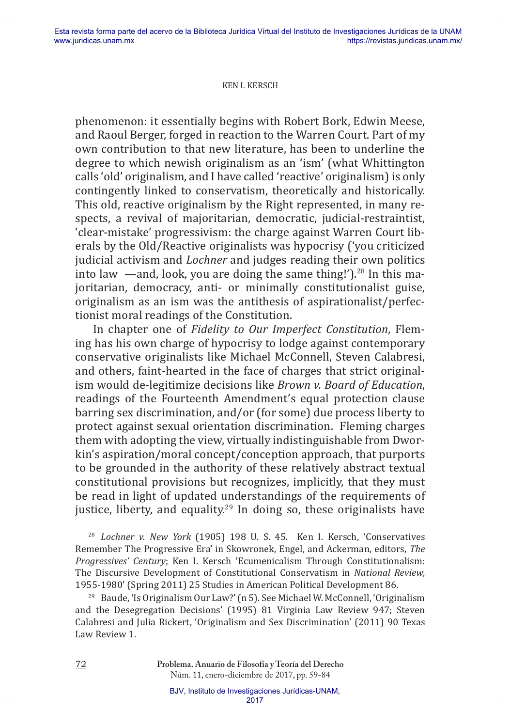phenomenon: it essentially begins with Robert Bork, Edwin Meese, and Raoul Berger, forged in reaction to the Warren Court. Part of my own contribution to that new literature, has been to underline the degree to which newish originalism as an 'ism' (what Whittington calls 'old' originalism, and I have called 'reactive' originalism) is only contingently linked to conservatism, theoretically and historically. This old, reactive originalism by the Right represented, in many respects, a revival of majoritarian, democratic, judicial-restraintist, 'clear-mistake' progressivism: the charge against Warren Court liberals by the Old/Reactive originalists was hypocrisy ('you criticized judicial activism and *Lochner* and judges reading their own politics into law  $-$ and, look, you are doing the same thing!').<sup>28</sup> In this majoritarian, democracy, anti- or minimally constitutionalist guise, originalism as an ism was the antithesis of aspirationalist/perfectionist moral readings of the Constitution.

In chapter one of *Fidelity to Our Imperfect Constitution*, Fleming has his own charge of hypocrisy to lodge against contemporary conservative originalists like Michael McConnell, Steven Calabresi, and others, faint-hearted in the face of charges that strict originalism would de-legitimize decisions like *Brown v. Board of Education*, readings of the Fourteenth Amendment's equal protection clause barring sex discrimination, and/or (for some) due process liberty to protect against sexual orientation discrimination. Fleming charges them with adopting the view, virtually indistinguishable from Dworkin's aspiration/moral concept/conception approach, that purports to be grounded in the authority of these relatively abstract textual constitutional provisions but recognizes, implicitly, that they must be read in light of updated understandings of the requirements of justice, liberty, and equality.<sup>29</sup> In doing so, these originalists have

<sup>28</sup>*Lochner v. New York* (1905) 198 U. S. 45. Ken I. Kersch, 'Conservatives Remember The Progressive Era' in Skowronek, Engel, and Ackerman, editors, *The Progressives' Century*; Ken I. Kersch 'Ecumenicalism Through Constitutionalism: The Discursive Development of Constitutional Conservatism in *National Review,* 1955-1980' (Spring 2011) 25 Studies in American Political Development 86.

<sup>29</sup> Baude, 'Is Originalism Our Law?' (n 5). See Michael W. McConnell, 'Originalism and the Desegregation Decisions' (1995) 81 Virginia Law Review 947; Steven Calabresi and Julia Rickert, 'Originalism and Sex Discrimination' (2011) 90 Texas Law Review 1.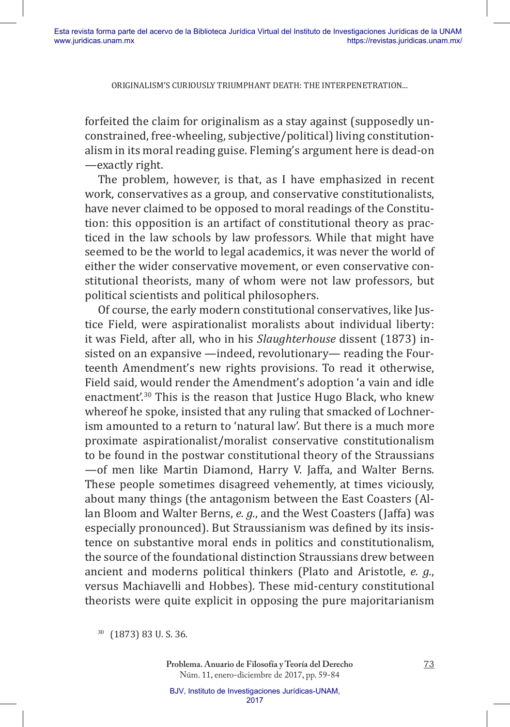forfeited the claim for originalism as a stay against (supposedly unconstrained, free-wheeling, subjective/political) living constitutionalism in its moral reading guise. Fleming's argument here is dead-on —exactly right.

The problem, however, is that, as I have emphasized in recent work, conservatives as a group, and conservative constitutionalists, have never claimed to be opposed to moral readings of the Constitution: this opposition is an artifact of constitutional theory as practiced in the law schools by law professors. While that might have seemed to be the world to legal academics, it was never the world of either the wider conservative movement, or even conservative constitutional theorists, many of whom were not law professors, but political scientists and political philosophers.

Of course, the early modern constitutional conservatives, like Justice Field, were aspirationalist moralists about individual liberty: it was Field, after all, who in his *Slaughterhouse* dissent (1873) insisted on an expansive —indeed, revolutionary— reading the Fourteenth Amendment's new rights provisions. To read it otherwise, Field said, would render the Amendment's adoption 'a vain and idle enactment'.30 This is the reason that Justice Hugo Black, who knew whereof he spoke, insisted that any ruling that smacked of Lochnerism amounted to a return to 'natural law'. But there is a much more proximate aspirationalist/moralist conservative constitutionalism to be found in the postwar constitutional theory of the Straussians —of men like Martin Diamond, Harry V. Jaffa, and Walter Berns. These people sometimes disagreed vehemently, at times viciously, about many things (the antagonism between the East Coasters (Allan Bloom and Walter Berns, *e. g.*, and the West Coasters (Jaffa) was especially pronounced). But Straussianism was defined by its insistence on substantive moral ends in politics and constitutionalism, the source of the foundational distinction Straussians drew between ancient and moderns political thinkers (Plato and Aristotle, *e. g.*, versus Machiavelli and Hobbes). These mid-century constitutional theorists were quite explicit in opposing the pure majoritarianism

<sup>30</sup>(1873) 83 U. S. 36.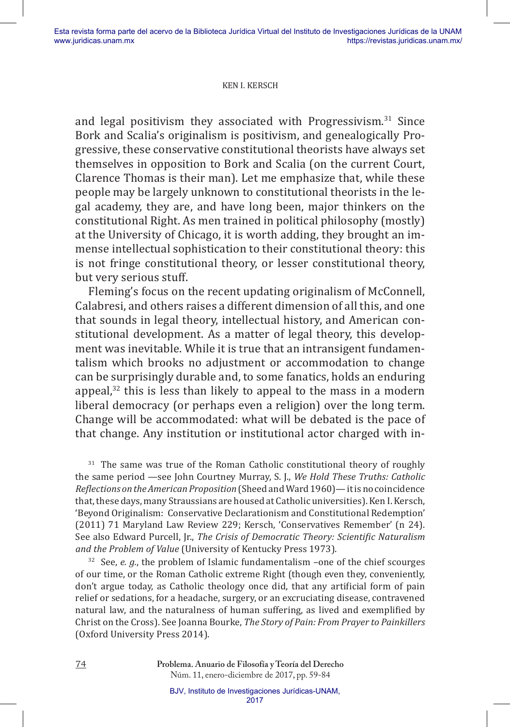and legal positivism they associated with Progressivism. $31$  Since Bork and Scalia's originalism is positivism, and genealogically Progressive, these conservative constitutional theorists have always set themselves in opposition to Bork and Scalia (on the current Court, Clarence Thomas is their man). Let me emphasize that, while these people may be largely unknown to constitutional theorists in the legal academy, they are, and have long been, major thinkers on the constitutional Right. As men trained in political philosophy (mostly) at the University of Chicago, it is worth adding, they brought an immense intellectual sophistication to their constitutional theory: this is not fringe constitutional theory, or lesser constitutional theory, but very serious stuff.

Fleming's focus on the recent updating originalism of McConnell, Calabresi, and others raises a different dimension of all this, and one that sounds in legal theory, intellectual history, and American constitutional development. As a matter of legal theory, this development was inevitable. While it is true that an intransigent fundamentalism which brooks no adjustment or accommodation to change can be surprisingly durable and, to some fanatics, holds an enduring appeal, $32$  this is less than likely to appeal to the mass in a modern liberal democracy (or perhaps even a religion) over the long term. Change will be accommodated: what will be debated is the pace of that change. Any institution or institutional actor charged with in-

 $31$  The same was true of the Roman Catholic constitutional theory of roughly the same period —see John Courtney Murray, S. J., *We Hold These Truths: Catholic Reflections on the American Proposition* (Sheed and Ward 1960)— it is no coincidence that, these days, many Straussians are housed at Catholic universities). Ken I. Kersch, 'Beyond Originalism: Conservative Declarationism and Constitutional Redemption' (2011) 71 Maryland Law Review 229; Kersch, 'Conservatives Remember' (n 24). See also Edward Purcell, Jr., *The Crisis of Democratic Theory: Scientific Naturalism and the Problem of Value* (University of Kentucky Press 1973).

 $32$  See, *e. g.*, the problem of Islamic fundamentalism –one of the chief scourges of our time, or the Roman Catholic extreme Right (though even they, conveniently, don't argue today, as Catholic theology once did, that any artificial form of pain relief or sedations, for a headache, surgery, or an excruciating disease, contravened natural law, and the naturalness of human suffering, as lived and exemplified by Christ on the Cross). See Joanna Bourke, *The Story of Pain: From Prayer to Painkillers* (Oxford University Press 2014).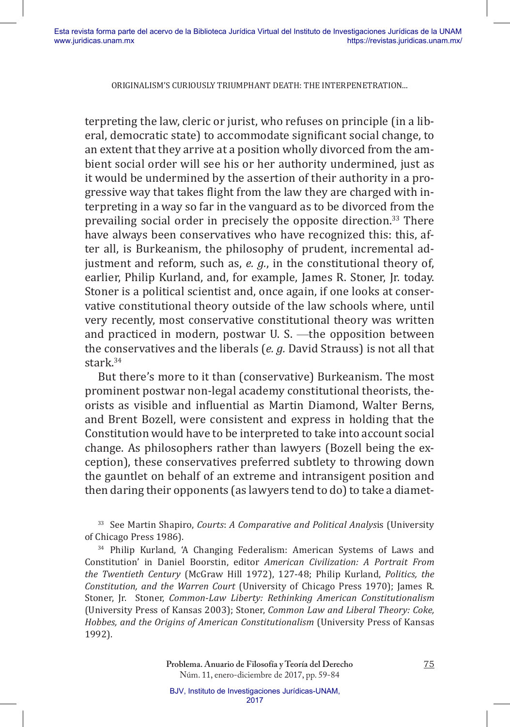terpreting the law, cleric or jurist, who refuses on principle (in a liberal, democratic state) to accommodate significant social change, to an extent that they arrive at a position wholly divorced from the ambient social order will see his or her authority undermined, just as it would be undermined by the assertion of their authority in a progressive way that takes flight from the law they are charged with interpreting in a way so far in the vanguard as to be divorced from the prevailing social order in precisely the opposite direction.33 There have always been conservatives who have recognized this: this, after all, is Burkeanism, the philosophy of prudent, incremental adjustment and reform, such as, *e. g.*, in the constitutional theory of, earlier, Philip Kurland, and, for example, James R. Stoner, Jr. today. Stoner is a political scientist and, once again, if one looks at conservative constitutional theory outside of the law schools where, until very recently, most conservative constitutional theory was written and practiced in modern, postwar U. S. —the opposition between the conservatives and the liberals (*e. g.* David Strauss) is not all that stark.<sup>34</sup>

But there's more to it than (conservative) Burkeanism. The most prominent postwar non-legal academy constitutional theorists, theorists as visible and influential as Martin Diamond, Walter Berns, and Brent Bozell, were consistent and express in holding that the Constitution would have to be interpreted to take into account social change. As philosophers rather than lawyers (Bozell being the exception), these conservatives preferred subtlety to throwing down the gauntlet on behalf of an extreme and intransigent position and then daring their opponents (as lawyers tend to do) to take a diamet-

<sup>33</sup> See Martin Shapiro, *Courts: A Comparative and Political Analysis* (University of Chicago Press 1986).

<sup>34</sup> Philip Kurland, 'A Changing Federalism: American Systems of Laws and Constitution' in Daniel Boorstin, editor *American Civilization: A Portrait From the Twentieth Century* (McGraw Hill 1972), 127-48; Philip Kurland, *Politics, the Constitution, and the Warren Court* (University of Chicago Press 1970); James R. Stoner, Jr. Stoner, *Common-Law Liberty: Rethinking American Constitutionalism*  (University Press of Kansas 2003); Stoner, *Common Law and Liberal Theory: Coke, Hobbes, and the Origins of American Constitutionalism* (University Press of Kansas 1992).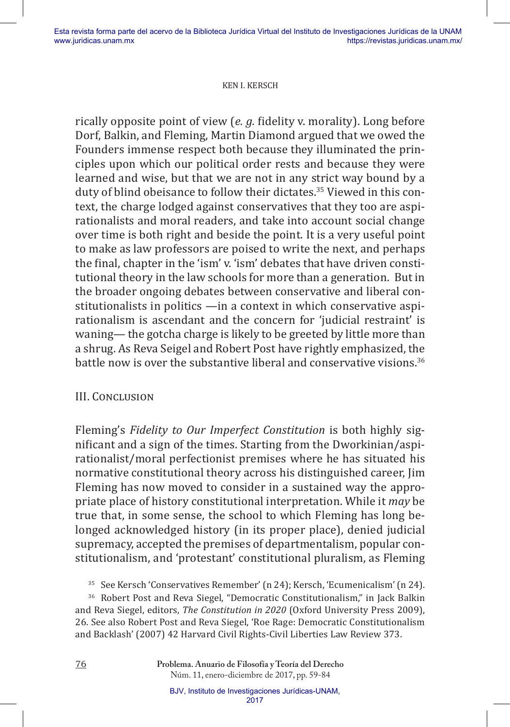rically opposite point of view (*e. g.* fidelity v. morality). Long before Dorf, Balkin, and Fleming, Martin Diamond argued that we owed the Founders immense respect both because they illuminated the principles upon which our political order rests and because they were learned and wise, but that we are not in any strict way bound by a duty of blind obeisance to follow their dictates.35 Viewed in this context, the charge lodged against conservatives that they too are aspirationalists and moral readers, and take into account social change over time is both right and beside the point. It is a very useful point to make as law professors are poised to write the next, and perhaps the final, chapter in the 'ism' v. 'ism' debates that have driven constitutional theory in the law schools for more than a generation. But in the broader ongoing debates between conservative and liberal constitutionalists in politics —in a context in which conservative aspirationalism is ascendant and the concern for 'judicial restraint' is waning— the gotcha charge is likely to be greeted by little more than a shrug. As Reva Seigel and Robert Post have rightly emphasized, the battle now is over the substantive liberal and conservative visions.<sup>36</sup>

### III. Conclusion

Fleming's *Fidelity to Our Imperfect Constitution* is both highly significant and a sign of the times. Starting from the Dworkinian/aspirationalist/moral perfectionist premises where he has situated his normative constitutional theory across his distinguished career, Jim Fleming has now moved to consider in a sustained way the appropriate place of history constitutional interpretation. While it *may* be true that, in some sense, the school to which Fleming has long belonged acknowledged history (in its proper place), denied judicial supremacy, accepted the premises of departmentalism, popular constitutionalism, and 'protestant' constitutional pluralism, as Fleming

<sup>35</sup> See Kersch 'Conservatives Remember' (n 24); Kersch, 'Ecumenicalism' (n 24).

<sup>36</sup> Robert Post and Reva Siegel, "Democratic Constitutionalism," in Jack Balkin and Reva Siegel, editors, *The Constitution in 2020* (Oxford University Press 2009), 26. See also Robert Post and Reva Siegel, 'Roe Rage: Democratic Constitutionalism and Backlash' (2007) 42 Harvard Civil Rights-Civil Liberties Law Review 373.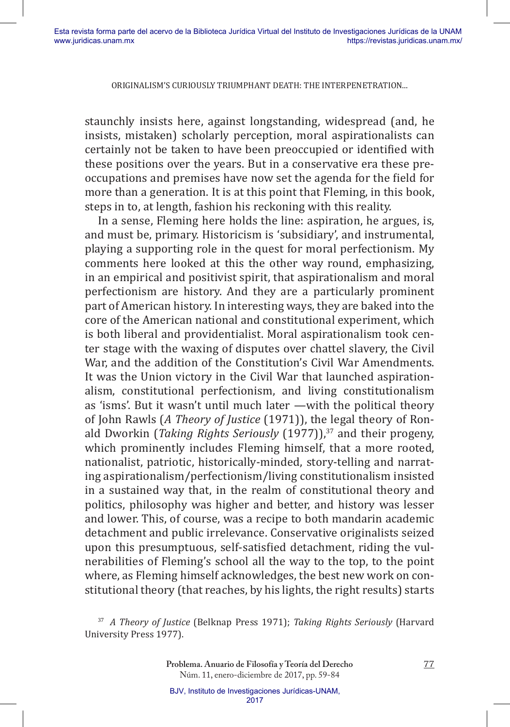staunchly insists here, against longstanding, widespread (and, he insists, mistaken) scholarly perception, moral aspirationalists can certainly not be taken to have been preoccupied or identified with these positions over the years. But in a conservative era these preoccupations and premises have now set the agenda for the field for more than a generation. It is at this point that Fleming, in this book, steps in to, at length, fashion his reckoning with this reality.

In a sense, Fleming here holds the line: aspiration, he argues, is, and must be, primary. Historicism is 'subsidiary', and instrumental, playing a supporting role in the quest for moral perfectionism. My comments here looked at this the other way round, emphasizing, in an empirical and positivist spirit, that aspirationalism and moral perfectionism are history. And they are a particularly prominent part of American history. In interesting ways, they are baked into the core of the American national and constitutional experiment, which is both liberal and providentialist. Moral aspirationalism took center stage with the waxing of disputes over chattel slavery, the Civil War, and the addition of the Constitution's Civil War Amendments. It was the Union victory in the Civil War that launched aspirationalism, constitutional perfectionism, and living constitutionalism as 'isms'. But it wasn't until much later —with the political theory of John Rawls (*A Theory of Justice* (1971)), the legal theory of Ronald Dworkin (*Taking Rights Seriously* (1977)),<sup>37</sup> and their progeny, which prominently includes Fleming himself, that a more rooted, nationalist, patriotic, historically-minded, story-telling and narrating aspirationalism/perfectionism/living constitutionalism insisted in a sustained way that, in the realm of constitutional theory and politics, philosophy was higher and better, and history was lesser and lower. This, of course, was a recipe to both mandarin academic detachment and public irrelevance. Conservative originalists seized upon this presumptuous, self-satisfied detachment, riding the vulnerabilities of Fleming's school all the way to the top, to the point where, as Fleming himself acknowledges, the best new work on constitutional theory (that reaches, by his lights, the right results) starts

<sup>37</sup>*A Theory of Justice* (Belknap Press 1971); *Taking Rights Seriously* (Harvard University Press 1977).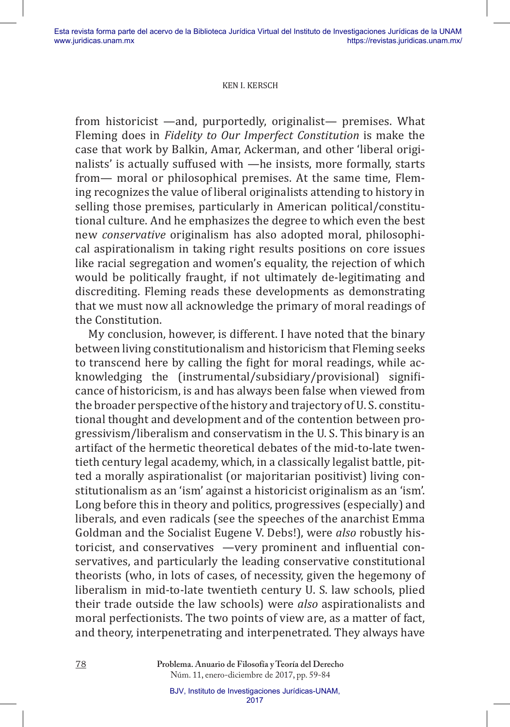from historicist —and, purportedly, originalist— premises. What Fleming does in *Fidelity to Our Imperfect Constitution* is make the case that work by Balkin, Amar, Ackerman, and other 'liberal originalists' is actually suffused with —he insists, more formally, starts from— moral or philosophical premises. At the same time, Fleming recognizes the value of liberal originalists attending to history in selling those premises, particularly in American political/constitutional culture. And he emphasizes the degree to which even the best new *conservative* originalism has also adopted moral, philosophical aspirationalism in taking right results positions on core issues like racial segregation and women's equality, the rejection of which would be politically fraught, if not ultimately de-legitimating and discrediting. Fleming reads these developments as demonstrating that we must now all acknowledge the primary of moral readings of the Constitution.

My conclusion, however, is different. I have noted that the binary between living constitutionalism and historicism that Fleming seeks to transcend here by calling the fight for moral readings, while acknowledging the (instrumental/subsidiary/provisional) significance of historicism, is and has always been false when viewed from the broader perspective of the history and trajectory of U. S. constitutional thought and development and of the contention between progressivism/liberalism and conservatism in the U. S. This binary is an artifact of the hermetic theoretical debates of the mid-to-late twentieth century legal academy, which, in a classically legalist battle, pitted a morally aspirationalist (or majoritarian positivist) living constitutionalism as an 'ism' against a historicist originalism as an 'ism'. Long before this in theory and politics, progressives (especially) and liberals, and even radicals (see the speeches of the anarchist Emma Goldman and the Socialist Eugene V. Debs!), were *also* robustly historicist, and conservatives —very prominent and influential conservatives, and particularly the leading conservative constitutional theorists (who, in lots of cases, of necessity, given the hegemony of liberalism in mid-to-late twentieth century U. S. law schools, plied their trade outside the law schools) were *also* aspirationalists and moral perfectionists. The two points of view are, as a matter of fact, and theory, interpenetrating and interpenetrated. They always have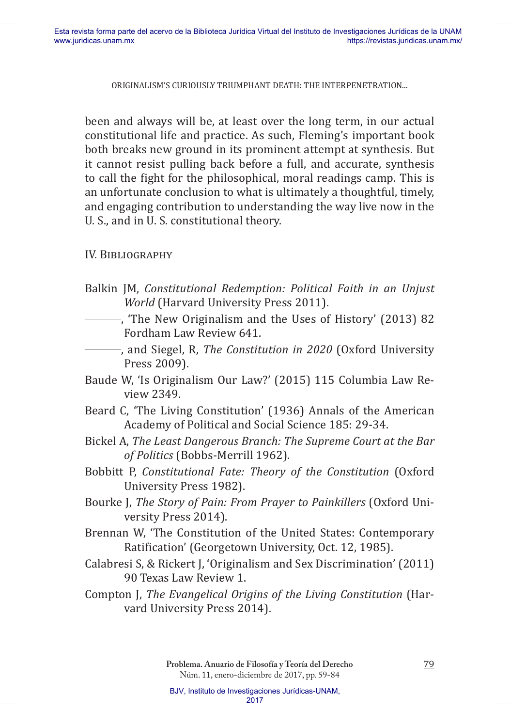been and always will be, at least over the long term, in our actual constitutional life and practice. As such, Fleming's important book both breaks new ground in its prominent attempt at synthesis. But it cannot resist pulling back before a full, and accurate, synthesis to call the fight for the philosophical, moral readings camp. This is an unfortunate conclusion to what is ultimately a thoughtful, timely, and engaging contribution to understanding the way live now in the U. S., and in U. S. constitutional theory.

# IV. BIBLIOGRAPHY

- Balkin JM, *Constitutional Redemption: Political Faith in an Unjust World* (Harvard University Press 2011).
- ———, 'The New Originalism and the Uses of History' (2013) 82 Fordham Law Review 641.
- ———, and Siegel, R, *The Constitution in 2020* (Oxford University Press 2009).
- Baude W, 'Is Originalism Our Law?' (2015) 115 Columbia Law Review 2349.
- Beard C, 'The Living Constitution' (1936) Annals of the American Academy of Political and Social Science 185: 29-34.
- Bickel A, *The Least Dangerous Branch: The Supreme Court at the Bar of Politics* (Bobbs-Merrill 1962).
- Bobbitt P, *Constitutional Fate: Theory of the Constitution* (Oxford University Press 1982).
- Bourke J, *The Story of Pain: From Prayer to Painkillers* (Oxford University Press 2014).
- Brennan W, 'The Constitution of the United States: Contemporary Ratification' (Georgetown University, Oct. 12, 1985).
- Calabresi S, & Rickert J, 'Originalism and Sex Discrimination' (2011) 90 Texas Law Review 1.
- Compton J, *The Evangelical Origins of the Living Constitution* (Harvard University Press 2014).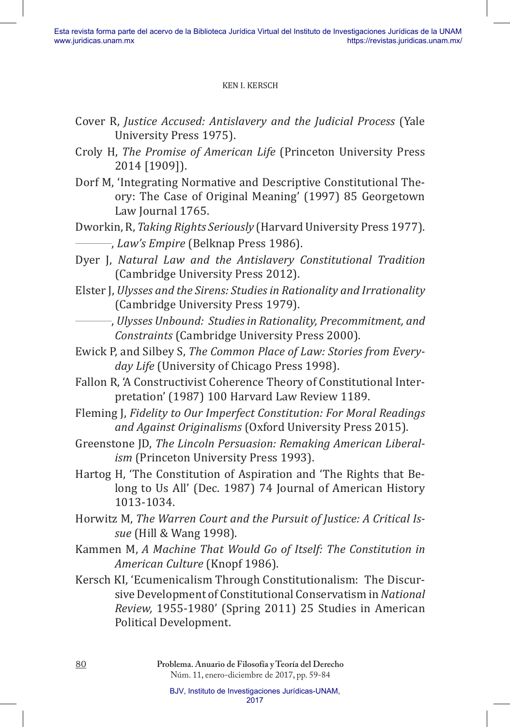- Cover R, *Justice Accused: Antislavery and the Judicial Process* (Yale University Press 1975).
- Croly H, *The Promise of American Life* (Princeton University Press 2014 [1909]).
- Dorf M, 'Integrating Normative and Descriptive Constitutional Theory: The Case of Original Meaning' (1997) 85 Georgetown Law Journal 1765.
- Dworkin, R, *Taking Rights Seriously* (Harvard University Press 1977). ———, *Law's Empire* (Belknap Press 1986).
- Dyer J, *Natural Law and the Antislavery Constitutional Tradition* (Cambridge University Press 2012).
- Elster J, *Ulysses and the Sirens: Studies in Rationality and Irrationality* (Cambridge University Press 1979).
- ———, *Ulysses Unbound: Studies in Rationality, Precommitment, and Constraints* (Cambridge University Press 2000).
- Ewick P, and Silbey S, *The Common Place of Law: Stories from Everyday Life* (University of Chicago Press 1998).
- Fallon R, 'A Constructivist Coherence Theory of Constitutional Interpretation' (1987) 100 Harvard Law Review 1189.
- Fleming J, *Fidelity to Our Imperfect Constitution: For Moral Readings and Against Originalisms* (Oxford University Press 2015).
- Greenstone JD, *The Lincoln Persuasion: Remaking American Liberalism* (Princeton University Press 1993).
- Hartog H, 'The Constitution of Aspiration and 'The Rights that Belong to Us All' (Dec. 1987) 74 Journal of American History 1013-1034.
- Horwitz M, *The Warren Court and the Pursuit of Justice: A Critical Issue* (Hill & Wang 1998).
- Kammen M, *A Machine That Would Go of Itself: The Constitution in American Culture* (Knopf 1986).
- Kersch KI, 'Ecumenicalism Through Constitutionalism: The Discursive Development of Constitutional Conservatism in *National Review,* 1955-1980' (Spring 2011) 25 Studies in American Political Development.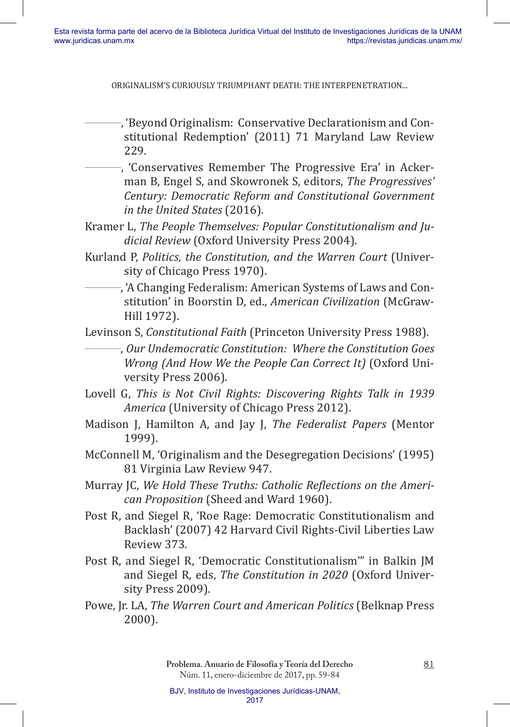ORIGINALISM'S CURIOUSLY TRIUMPHANT DEATH: THE INTERPENETRATION...

———, 'Beyond Originalism: Conservative Declarationism and Constitutional Redemption' (2011) 71 Maryland Law Review 229.

- ———, 'Conservatives Remember The Progressive Era' in Ackerman B, Engel S, and Skowronek S, editors, *The Progressives' Century: Democratic Reform and Constitutional Government in the United States* (2016).
- Kramer L, *The People Themselves: Popular Constitutionalism and Judicial Review* (Oxford University Press 2004).
- Kurland P, *Politics, the Constitution, and the Warren Court* (University of Chicago Press 1970).
	- ———, 'A Changing Federalism: American Systems of Laws and Constitution' in Boorstin D, ed., *American Civilization* (McGraw-Hill 1972).

Levinson S, *Constitutional Faith* (Princeton University Press 1988).

———, *Our Undemocratic Constitution: Where the Constitution Goes Wrong (And How We the People Can Correct It)* (Oxford University Press 2006).

- Lovell G, *This is Not Civil Rights: Discovering Rights Talk in 1939 America* (University of Chicago Press 2012).
- Madison J, Hamilton A, and Jay J, *The Federalist Papers* (Mentor 1999).
- McConnell M, 'Originalism and the Desegregation Decisions' (1995) 81 Virginia Law Review 947.
- Murray JC, *We Hold These Truths: Catholic Reflections on the American Proposition* (Sheed and Ward 1960).
- Post R, and Siegel R, 'Roe Rage: Democratic Constitutionalism and Backlash' (2007) 42 Harvard Civil Rights-Civil Liberties Law Review 373.
- Post R, and Siegel R, 'Democratic Constitutionalism'" in Balkin JM and Siegel R, eds, *The Constitution in 2020* (Oxford University Press 2009).
- Powe, Jr. LA, *The Warren Court and American Politics* (Belknap Press 2000).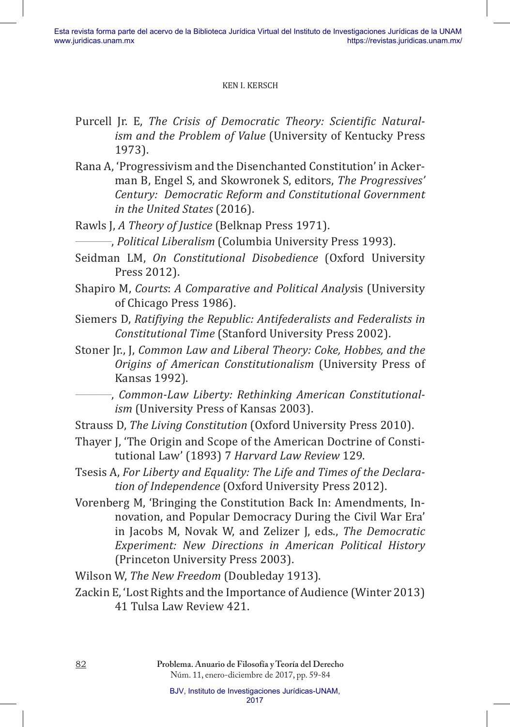- Purcell Jr. E, *The Crisis of Democratic Theory: Scientific Naturalism and the Problem of Value* (University of Kentucky Press 1973).
- Rana A, 'Progressivism and the Disenchanted Constitution' in Ackerman B, Engel S, and Skowronek S, editors, *The Progressives' Century: Democratic Reform and Constitutional Government in the United States* (2016).
- Rawls J, *A Theory of Justice* (Belknap Press 1971).
	- ———, *Political Liberalism* (Columbia University Press 1993).
- Seidman LM, *On Constitutional Disobedience* (Oxford University Press 2012).
- Shapiro M, *Courts*: *A Comparative and Political Analys*is (University of Chicago Press 1986).
- Siemers D, *Ratifiying the Republic: Antifederalists and Federalists in Constitutional Time* (Stanford University Press 2002).
- Stoner Jr., J, *Common Law and Liberal Theory: Coke, Hobbes, and the Origins of American Constitutionalism* (University Press of Kansas 1992).
	- ———, *Common-Law Liberty: Rethinking American Constitutionalism* (University Press of Kansas 2003).
- Strauss D, *The Living Constitution* (Oxford University Press 2010).
- Thayer J, 'The Origin and Scope of the American Doctrine of Constitutional Law' (1893) 7 *Harvard Law Review* 129.
- Tsesis A, *For Liberty and Equality: The Life and Times of the Declaration of Independence* (Oxford University Press 2012).
- Vorenberg M, 'Bringing the Constitution Back In: Amendments, Innovation, and Popular Democracy During the Civil War Era' in Jacobs M, Novak W, and Zelizer J, eds., *The Democratic Experiment: New Directions in American Political History* (Princeton University Press 2003).
- Wilson W, *The New Freedom* (Doubleday 1913).
- Zackin E, 'Lost Rights and the Importance of Audience (Winter 2013) 41 Tulsa Law Review 421.